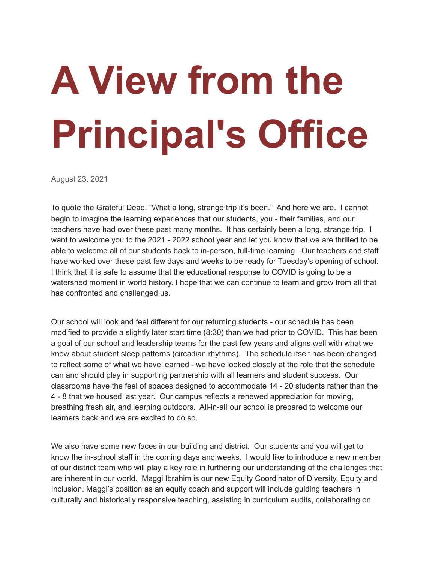## **A View from the Principal's Office**

August 23, 2021

To quote the Grateful Dead, "What a long, strange trip it's been." And here we are. I cannot begin to imagine the learning experiences that our students, you - their families, and our teachers have had over these past many months. It has certainly been a long, strange trip. I want to welcome you to the 2021 - 2022 school year and let you know that we are thrilled to be able to welcome all of our students back to in-person, full-time learning. Our teachers and staff have worked over these past few days and weeks to be ready for Tuesday's opening of school. I think that it is safe to assume that the educational response to COVID is going to be a watershed moment in world history. I hope that we can continue to learn and grow from all that has confronted and challenged us.

Our school will look and feel different for our returning students - our schedule has been modified to provide a slightly later start time (8:30) than we had prior to COVID. This has been a goal of our school and leadership teams for the past few years and aligns well with what we know about student sleep patterns (circadian rhythms). The schedule itself has been changed to reflect some of what we have learned - we have looked closely at the role that the schedule can and should play in supporting partnership with all learners and student success. Our classrooms have the feel of spaces designed to accommodate 14 - 20 students rather than the 4 - 8 that we housed last year. Our campus reflects a renewed appreciation for moving, breathing fresh air, and learning outdoors. All-in-all our school is prepared to welcome our learners back and we are excited to do so.

We also have some new faces in our building and district. Our students and you will get to know the in-school staff in the coming days and weeks. I would like to introduce a new member of our district team who will play a key role in furthering our understanding of the challenges that are inherent in our world. Maggi Ibrahim is our new Equity Coordinator of Diversity, Equity and Inclusion. Maggi's position as an equity coach and support will include guiding teachers in culturally and historically responsive teaching, assisting in curriculum audits, collaborating on